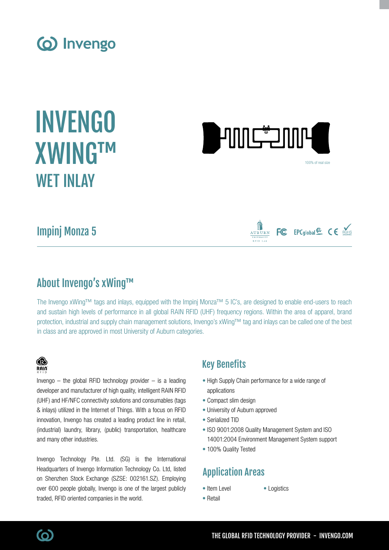





100% of real size

FC EPCglobal<sup>50</sup> CE Ross

Impinj Monza 5



The Invengo xWing™ tags and inlays, equipped with the Impinj Monza™ 5 IC's, are designed to enable end-users to reach and sustain high levels of performance in all global RAIN RFID (UHF) frequency regions. Within the area of apparel, brand protection, industrial and supply chain management solutions, Invengo's xWing™ tag and inlays can be called one of the best in class and are approved in most University of Auburn categories.

## ® **RAIN**

Invengo  $-$  the global RFID technology provider  $-$  is a leading developer and manufacturer of high quality, intelligent RAIN RFID (UHF) and HF/NFC connectivity solutions and consumables (tags & inlays) utilized in the Internet of Things. With a focus on RFID innovation, Invengo has created a leading product line in retail, (industrial) laundry, library, (public) transportation, healthcare and many other industries.

Invengo Technology Pte. Ltd. (SG) is the International Headquarters of Invengo Information Technology Co. Ltd, listed on Shenzhen Stock Exchange (SZSE: 002161.SZ). Employing over 600 people globally, Invengo is one of the largest publicly traded, RFID oriented companies in the world.

# Key Benefits

- High Supply Chain performance for a wide range of applications
- Compact slim design
- University of Auburn approved
- Serialized TID
- ISO 9001:2008 Quality Management System and ISO 14001:2004 Environment Management System support
- 100% Quality Tested

# Application Areas

- Item Level
- Logistics
- Retail